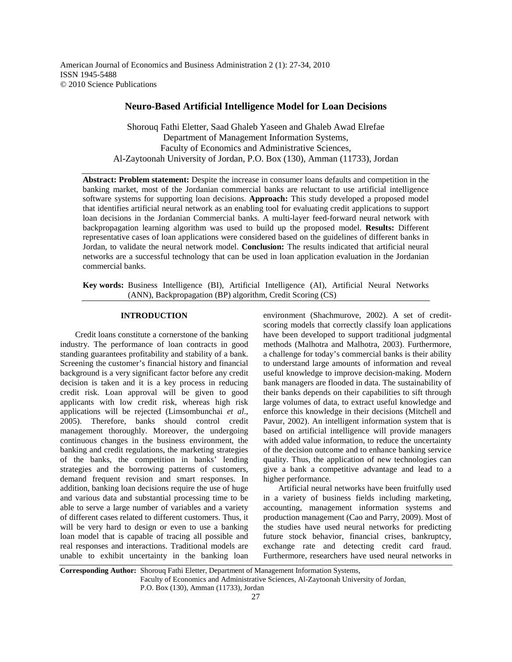American Journal of Economics and Business Administration 2 (1): 27-34, 2010 ISSN 1945-5488 © 2010 Science Publications

# **Neuro-Based Artificial Intelligence Model for Loan Decisions**

Shorouq Fathi Eletter, Saad Ghaleb Yaseen and Ghaleb Awad Elrefae Department of Management Information Systems, Faculty of Economics and Administrative Sciences, Al-Zaytoonah University of Jordan, P.O. Box (130), Amman (11733), Jordan

**Abstract: Problem statement:** Despite the increase in consumer loans defaults and competition in the banking market, most of the Jordanian commercial banks are reluctant to use artificial intelligence software systems for supporting loan decisions. **Approach:** This study developed a proposed model that identifies artificial neural network as an enabling tool for evaluating credit applications to support loan decisions in the Jordanian Commercial banks. A multi-layer feed-forward neural network with backpropagation learning algorithm was used to build up the proposed model. **Results:** Different representative cases of loan applications were considered based on the guidelines of different banks in Jordan, to validate the neural network model. **Conclusion:** The results indicated that artificial neural networks are a successful technology that can be used in loan application evaluation in the Jordanian commercial banks.

**Key words:** Business Intelligence (BI), Artificial Intelligence (AI), Artificial Neural Networks (ANN), Backpropagation (BP) algorithm, Credit Scoring (CS)

### **INTRODUCTION**

 Credit loans constitute a cornerstone of the banking industry. The performance of loan contracts in good standing guarantees profitability and stability of a bank. Screening the customer's financial history and financial background is a very significant factor before any credit decision is taken and it is a key process in reducing credit risk. Loan approval will be given to good applicants with low credit risk, whereas high risk applications will be rejected (Limsombunchai *et al*., 2005). Therefore, banks should control credit management thoroughly. Moreover, the undergoing continuous changes in the business environment, the banking and credit regulations, the marketing strategies of the banks, the competition in banks' lending strategies and the borrowing patterns of customers, demand frequent revision and smart responses. In addition, banking loan decisions require the use of huge and various data and substantial processing time to be able to serve a large number of variables and a variety of different cases related to different customers. Thus, it will be very hard to design or even to use a banking loan model that is capable of tracing all possible and real responses and interactions. Traditional models are unable to exhibit uncertainty in the banking loan

environment (Shachmurove, 2002). A set of creditscoring models that correctly classify loan applications have been developed to support traditional judgmental methods (Malhotra and Malhotra, 2003). Furthermore, a challenge for today's commercial banks is their ability to understand large amounts of information and reveal useful knowledge to improve decision-making. Modern bank managers are flooded in data. The sustainability of their banks depends on their capabilities to sift through large volumes of data, to extract useful knowledge and enforce this knowledge in their decisions (Mitchell and Pavur, 2002). An intelligent information system that is based on artificial intelligence will provide managers with added value information, to reduce the uncertainty of the decision outcome and to enhance banking service quality. Thus, the application of new technologies can give a bank a competitive advantage and lead to a higher performance.

 Artificial neural networks have been fruitfully used in a variety of business fields including marketing, accounting, management information systems and production management (Cao and Parry, 2009). Most of the studies have used neural networks for predicting future stock behavior, financial crises, bankruptcy, exchange rate and detecting credit card fraud. Furthermore, researchers have used neural networks in

**Corresponding Author:** Shorouq Fathi Eletter, Department of Management Information Systems,

Faculty of Economics and Administrative Sciences, Al-Zaytoonah University of Jordan,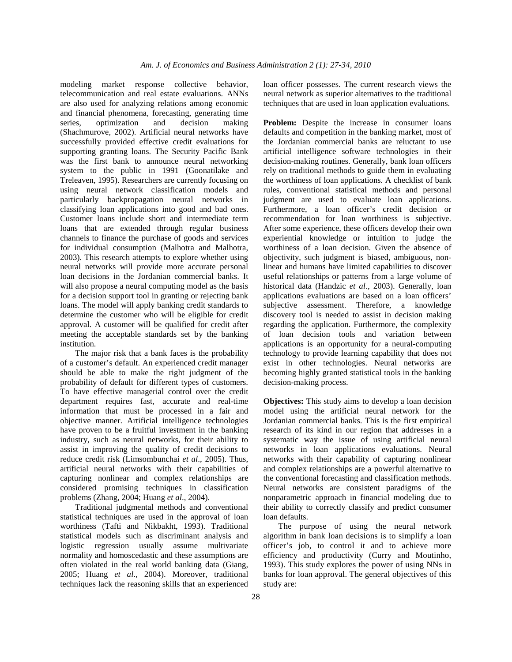modeling market response collective behavior, telecommunication and real estate evaluations. ANNs are also used for analyzing relations among economic and financial phenomena, forecasting, generating time series, optimization and decision making (Shachmurove, 2002). Artificial neural networks have successfully provided effective credit evaluations for supporting granting loans. The Security Pacific Bank was the first bank to announce neural networking system to the public in 1991 (Goonatilake and Treleaven, 1995). Researchers are currently focusing on using neural network classification models and particularly backpropagation neural networks in classifying loan applications into good and bad ones. Customer loans include short and intermediate term loans that are extended through regular business channels to finance the purchase of goods and services for individual consumption (Malhotra and Malhotra, 2003). This research attempts to explore whether using neural networks will provide more accurate personal loan decisions in the Jordanian commercial banks. It will also propose a neural computing model as the basis for a decision support tool in granting or rejecting bank loans. The model will apply banking credit standards to determine the customer who will be eligible for credit approval. A customer will be qualified for credit after meeting the acceptable standards set by the banking institution.

 The major risk that a bank faces is the probability of a customer's default. An experienced credit manager should be able to make the right judgment of the probability of default for different types of customers. To have effective managerial control over the credit department requires fast, accurate and real-time information that must be processed in a fair and objective manner. Artificial intelligence technologies have proven to be a fruitful investment in the banking industry, such as neural networks, for their ability to assist in improving the quality of credit decisions to reduce credit risk (Limsombunchai *et al*., 2005). Thus, artificial neural networks with their capabilities of capturing nonlinear and complex relationships are considered promising techniques in classification problems (Zhang, 2004; Huang *et al*., 2004).

 Traditional judgmental methods and conventional statistical techniques are used in the approval of loan worthiness (Tafti and Nikbakht, 1993). Traditional statistical models such as discriminant analysis and logistic regression usually assume multivariate normality and homoscedastic and these assumptions are often violated in the real world banking data (Giang, 2005; Huang *et al*., 2004). Moreover, traditional techniques lack the reasoning skills that an experienced

loan officer possesses. The current research views the neural network as superior alternatives to the traditional techniques that are used in loan application evaluations.

Problem: Despite the increase in consumer loans defaults and competition in the banking market, most of the Jordanian commercial banks are reluctant to use artificial intelligence software technologies in their decision-making routines. Generally, bank loan officers rely on traditional methods to guide them in evaluating the worthiness of loan applications. A checklist of bank rules, conventional statistical methods and personal judgment are used to evaluate loan applications. Furthermore, a loan officer's credit decision or recommendation for loan worthiness is subjective. After some experience, these officers develop their own experiential knowledge or intuition to judge the worthiness of a loan decision. Given the absence of objectivity, such judgment is biased, ambiguous, nonlinear and humans have limited capabilities to discover useful relationships or patterns from a large volume of historical data (Handzic *et al*., 2003). Generally, loan applications evaluations are based on a loan officers' subjective assessment. Therefore, a knowledge discovery tool is needed to assist in decision making regarding the application. Furthermore, the complexity of loan decision tools and variation between applications is an opportunity for a neural-computing technology to provide learning capability that does not exist in other technologies. Neural networks are becoming highly granted statistical tools in the banking decision-making process.

**Objectives:** This study aims to develop a loan decision model using the artificial neural network for the Jordanian commercial banks. This is the first empirical research of its kind in our region that addresses in a systematic way the issue of using artificial neural networks in loan applications evaluations. Neural networks with their capability of capturing nonlinear and complex relationships are a powerful alternative to the conventional forecasting and classification methods. Neural networks are consistent paradigms of the nonparametric approach in financial modeling due to their ability to correctly classify and predict consumer loan defaults.

 The purpose of using the neural network algorithm in bank loan decisions is to simplify a loan officer's job, to control it and to achieve more efficiency and productivity (Curry and Moutinho, 1993). This study explores the power of using NNs in banks for loan approval. The general objectives of this study are: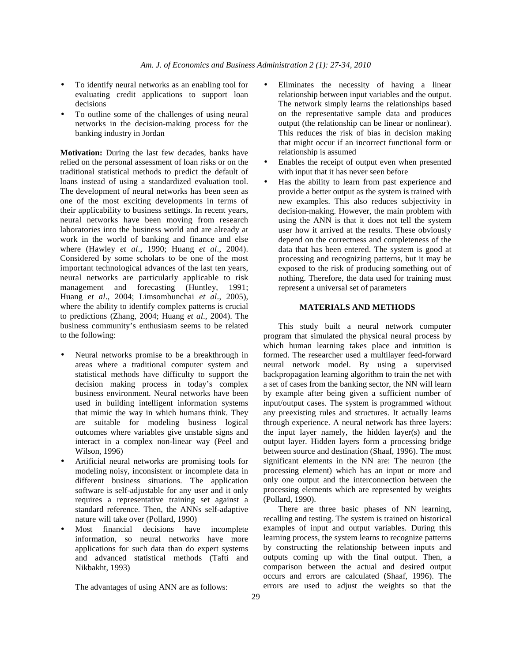- To identify neural networks as an enabling tool for evaluating credit applications to support loan decisions
- To outline some of the challenges of using neural networks in the decision-making process for the banking industry in Jordan

**Motivation:** During the last few decades, banks have relied on the personal assessment of loan risks or on the traditional statistical methods to predict the default of loans instead of using a standardized evaluation tool. The development of neural networks has been seen as one of the most exciting developments in terms of their applicability to business settings. In recent years, neural networks have been moving from research laboratories into the business world and are already at work in the world of banking and finance and else where (Hawley *et al*., 1990; Huang *et al*., 2004). Considered by some scholars to be one of the most important technological advances of the last ten years, neural networks are particularly applicable to risk management and forecasting (Huntley, 1991; Huang *et al*., 2004; Limsombunchai *et al*., 2005), where the ability to identify complex patterns is crucial to predictions (Zhang, 2004; Huang *et al*., 2004). The business community's enthusiasm seems to be related to the following:

- Neural networks promise to be a breakthrough in areas where a traditional computer system and statistical methods have difficulty to support the decision making process in today's complex business environment. Neural networks have been used in building intelligent information systems that mimic the way in which humans think. They are suitable for modeling business logical outcomes where variables give unstable signs and interact in a complex non-linear way (Peel and Wilson, 1996)
- Artificial neural networks are promising tools for modeling noisy, inconsistent or incomplete data in different business situations. The application software is self-adjustable for any user and it only requires a representative training set against a standard reference. Then, the ANNs self-adaptive nature will take over (Pollard, 1990)
- Most financial decisions have incomplete information, so neural networks have more applications for such data than do expert systems and advanced statistical methods (Tafti and Nikbakht, 1993)

The advantages of using ANN are as follows:

- Eliminates the necessity of having a linear relationship between input variables and the output. The network simply learns the relationships based on the representative sample data and produces output (the relationship can be linear or nonlinear). This reduces the risk of bias in decision making that might occur if an incorrect functional form or relationship is assumed
- Enables the receipt of output even when presented with input that it has never seen before
- Has the ability to learn from past experience and provide a better output as the system is trained with new examples. This also reduces subjectivity in decision-making. However, the main problem with using the ANN is that it does not tell the system user how it arrived at the results. These obviously depend on the correctness and completeness of the data that has been entered. The system is good at processing and recognizing patterns, but it may be exposed to the risk of producing something out of nothing. Therefore, the data used for training must represent a universal set of parameters

## **MATERIALS AND METHODS**

 This study built a neural network computer program that simulated the physical neural process by which human learning takes place and intuition is formed. The researcher used a multilayer feed-forward neural network model. By using a supervised backpropagation learning algorithm to train the net with a set of cases from the banking sector, the NN will learn by example after being given a sufficient number of input/output cases. The system is programmed without any preexisting rules and structures. It actually learns through experience. A neural network has three layers: the input layer namely, the hidden layer(s) and the output layer. Hidden layers form a processing bridge between source and destination (Shaaf, 1996). The most significant elements in the NN are: The neuron (the processing element) which has an input or more and only one output and the interconnection between the processing elements which are represented by weights (Pollard, 1990).

 There are three basic phases of NN learning, recalling and testing. The system is trained on historical examples of input and output variables. During this learning process, the system learns to recognize patterns by constructing the relationship between inputs and outputs coming up with the final output. Then, a comparison between the actual and desired output occurs and errors are calculated (Shaaf, 1996). The errors are used to adjust the weights so that the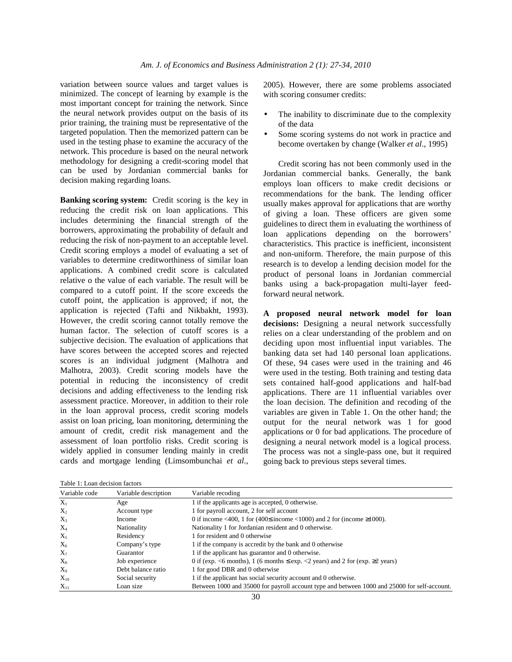variation between source values and target values is minimized. The concept of learning by example is the most important concept for training the network. Since the neural network provides output on the basis of its prior training, the training must be representative of the targeted population. Then the memorized pattern can be used in the testing phase to examine the accuracy of the network. This procedure is based on the neural network methodology for designing a credit-scoring model that can be used by Jordanian commercial banks for decision making regarding loans.

**Banking scoring system:** Credit scoring is the key in reducing the credit risk on loan applications. This includes determining the financial strength of the borrowers, approximating the probability of default and reducing the risk of non-payment to an acceptable level. Credit scoring employs a model of evaluating a set of variables to determine creditworthiness of similar loan applications. A combined credit score is calculated relative o the value of each variable. The result will be compared to a cutoff point. If the score exceeds the cutoff point, the application is approved; if not, the application is rejected (Tafti and Nikbakht, 1993). However, the credit scoring cannot totally remove the human factor. The selection of cutoff scores is a subjective decision. The evaluation of applications that have scores between the accepted scores and rejected scores is an individual judgment (Malhotra and Malhotra, 2003). Credit scoring models have the potential in reducing the inconsistency of credit decisions and adding effectiveness to the lending risk assessment practice. Moreover, in addition to their role in the loan approval process, credit scoring models assist on loan pricing, loan monitoring, determining the amount of credit, credit risk management and the assessment of loan portfolio risks. Credit scoring is widely applied in consumer lending mainly in credit cards and mortgage lending (Limsombunchai *et al*.,

Table 1: Loan decision factors

2005). However, there are some problems associated with scoring consumer credits:

- The inability to discriminate due to the complexity of the data
- Some scoring systems do not work in practice and become overtaken by change (Walker *et al*., 1995)

 Credit scoring has not been commonly used in the Jordanian commercial banks. Generally, the bank employs loan officers to make credit decisions or recommendations for the bank. The lending officer usually makes approval for applications that are worthy of giving a loan. These officers are given some guidelines to direct them in evaluating the worthiness of loan applications depending on the borrowers' characteristics. This practice is inefficient, inconsistent and non-uniform. Therefore, the main purpose of this research is to develop a lending decision model for the product of personal loans in Jordanian commercial banks using a back-propagation multi-layer feedforward neural network.

**A proposed neural network model for loan**  decisions: Designing a neural network successfully relies on a clear understanding of the problem and on deciding upon most influential input variables. The banking data set had 140 personal loan applications. Of these, 94 cases were used in the training and 46 were used in the testing. Both training and testing data sets contained half-good applications and half-bad applications. There are 11 influential variables over the loan decision. The definition and recoding of the variables are given in Table 1. On the other hand; the output for the neural network was 1 for good applications or 0 for bad applications. The procedure of designing a neural network model is a logical process. The process was not a single-pass one, but it required going back to previous steps several times.

| Variable code | Variable description | Variable recoding                                                                                   |
|---------------|----------------------|-----------------------------------------------------------------------------------------------------|
| $X_1$         | Age                  | 1 if the applicants age is accepted, 0 otherwise.                                                   |
| $X_{2}$       | Account type         | 1 for payroll account, 2 for self account                                                           |
| $X_3$         | Income               | 0 if income <400, 1 for $(400\leq$ income <1000) and 2 for (income $\geq$ 1000).                    |
| $X_4$         | Nationality          | Nationality 1 for Jordanian resident and 0 otherwise.                                               |
| $X_5$         | Residency            | 1 for resident and 0 otherwise                                                                      |
| $X_6$         | Company's type       | 1 if the company is accredit by the bank and 0 otherwise                                            |
| $X_7$         | Guarantor            | 1 if the applicant has guarantor and 0 otherwise.                                                   |
| $X_8$         | Job experience       | 0 if (exp. $\leq$ 6 months), 1 (6 months $\leq$ exp. $\lt$ 2 years) and 2 for (exp. $\geq$ 2 years) |
| $X_9$         | Debt balance ratio   | 1 for good DBR and 0 otherwise                                                                      |
| $X_{10}$      | Social security      | 1 if the applicant has social security account and 0 otherwise.                                     |
| $X_{11}$      | Loan size            | Between 1000 and 35000 for payroll account type and between 1000 and 25000 for self-account.        |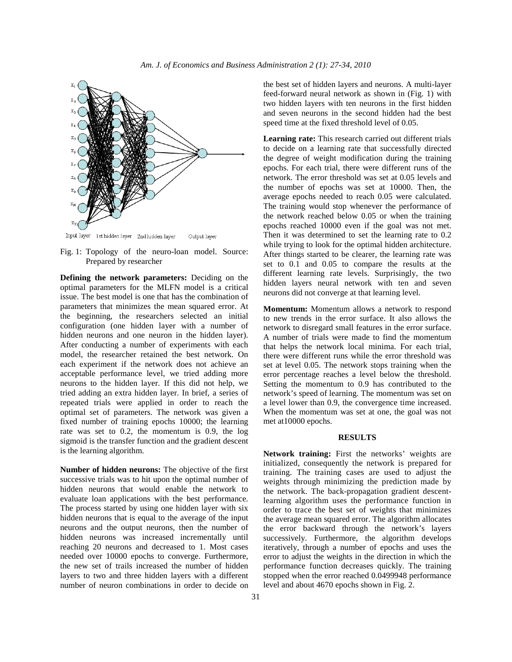

Input layer 1st hidden layer 2nd hidden layer Output layer

Fig. 1: Topology of the neuro-loan model. Source: Prepared by researcher

**Defining the network parameters:** Deciding on the optimal parameters for the MLFN model is a critical issue. The best model is one that has the combination of parameters that minimizes the mean squared error. At the beginning, the researchers selected an initial configuration (one hidden layer with a number of hidden neurons and one neuron in the hidden layer). After conducting a number of experiments with each model, the researcher retained the best network. On each experiment if the network does not achieve an acceptable performance level, we tried adding more neurons to the hidden layer. If this did not help, we tried adding an extra hidden layer. In brief, a series of repeated trials were applied in order to reach the optimal set of parameters. The network was given a fixed number of training epochs 10000; the learning rate was set to 0.2, the momentum is 0.9, the log sigmoid is the transfer function and the gradient descent is the learning algorithm.

**Number of hidden neurons:** The objective of the first successive trials was to hit upon the optimal number of hidden neurons that would enable the network to evaluate loan applications with the best performance. The process started by using one hidden layer with six hidden neurons that is equal to the average of the input neurons and the output neurons, then the number of hidden neurons was increased incrementally until reaching 20 neurons and decreased to 1. Most cases needed over 10000 epochs to converge. Furthermore, the new set of trails increased the number of hidden layers to two and three hidden layers with a different number of neuron combinations in order to decide on

the best set of hidden layers and neurons. A multi-layer feed-forward neural network as shown in (Fig. 1) with two hidden layers with ten neurons in the first hidden and seven neurons in the second hidden had the best speed time at the fixed threshold level of 0.05.

**Learning rate:** This research carried out different trials to decide on a learning rate that successfully directed the degree of weight modification during the training epochs. For each trial, there were different runs of the network. The error threshold was set at 0.05 levels and the number of epochs was set at 10000. Then, the average epochs needed to reach 0.05 were calculated. The training would stop whenever the performance of the network reached below 0.05 or when the training epochs reached 10000 even if the goal was not met. Then it was determined to set the learning rate to 0.2 while trying to look for the optimal hidden architecture. After things started to be clearer, the learning rate was set to 0.1 and 0.05 to compare the results at the different learning rate levels. Surprisingly, the two hidden layers neural network with ten and seven neurons did not converge at that learning level.

**Momentum:** Momentum allows a network to respond to new trends in the error surface. It also allows the network to disregard small features in the error surface. A number of trials were made to find the momentum that helps the network local minima. For each trial, there were different runs while the error threshold was set at level 0.05. The network stops training when the error percentage reaches a level below the threshold. Setting the momentum to 0.9 has contributed to the network's speed of learning. The momentum was set on a level lower than 0.9, the convergence time increased. When the momentum was set at one, the goal was not met at10000 epochs.

# **RESULTS**

**Network training:** First the networks' weights are initialized, consequently the network is prepared for training. The training cases are used to adjust the weights through minimizing the prediction made by the network. The back-propagation gradient descentlearning algorithm uses the performance function in order to trace the best set of weights that minimizes the average mean squared error. The algorithm allocates the error backward through the network's layers successively. Furthermore, the algorithm develops iteratively, through a number of epochs and uses the error to adjust the weights in the direction in which the performance function decreases quickly. The training stopped when the error reached 0.0499948 performance level and about 4670 epochs shown in Fig. 2.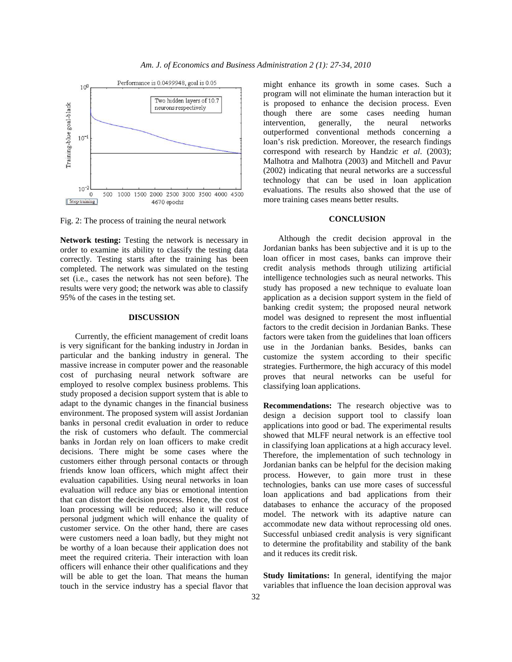

Fig. 2: The process of training the neural network

**Network testing:** Testing the network is necessary in order to examine its ability to classify the testing data correctly. Testing starts after the training has been completed. The network was simulated on the testing set (i.e., cases the network has not seen before). The results were very good; the network was able to classify 95% of the cases in the testing set.

### **DISCUSSION**

 Currently, the efficient management of credit loans is very significant for the banking industry in Jordan in particular and the banking industry in general. The massive increase in computer power and the reasonable cost of purchasing neural network software are employed to resolve complex business problems. This study proposed a decision support system that is able to adapt to the dynamic changes in the financial business environment. The proposed system will assist Jordanian banks in personal credit evaluation in order to reduce the risk of customers who default. The commercial banks in Jordan rely on loan officers to make credit decisions. There might be some cases where the customers either through personal contacts or through friends know loan officers, which might affect their evaluation capabilities. Using neural networks in loan evaluation will reduce any bias or emotional intention that can distort the decision process. Hence, the cost of loan processing will be reduced; also it will reduce personal judgment which will enhance the quality of customer service. On the other hand, there are cases were customers need a loan badly, but they might not be worthy of a loan because their application does not meet the required criteria. Their interaction with loan officers will enhance their other qualifications and they will be able to get the loan. That means the human touch in the service industry has a special flavor that

might enhance its growth in some cases. Such a program will not eliminate the human interaction but it is proposed to enhance the decision process. Even though there are some cases needing human intervention, generally, the neural networks outperformed conventional methods concerning a loan's risk prediction. Moreover, the research findings correspond with research by Handzic *et al*. (2003); Malhotra and Malhotra (2003) and Mitchell and Pavur (2002) indicating that neural networks are a successful technology that can be used in loan application evaluations. The results also showed that the use of more training cases means better results.

### **CONCLUSION**

 Although the credit decision approval in the Jordanian banks has been subjective and it is up to the loan officer in most cases, banks can improve their credit analysis methods through utilizing artificial intelligence technologies such as neural networks. This study has proposed a new technique to evaluate loan application as a decision support system in the field of banking credit system; the proposed neural network model was designed to represent the most influential factors to the credit decision in Jordanian Banks. These factors were taken from the guidelines that loan officers use in the Jordanian banks. Besides, banks can customize the system according to their specific strategies. Furthermore, the high accuracy of this model proves that neural networks can be useful for classifying loan applications.

**Recommendations:** The research objective was to design a decision support tool to classify loan applications into good or bad. The experimental results showed that MLFF neural network is an effective tool in classifying loan applications at a high accuracy level. Therefore, the implementation of such technology in Jordanian banks can be helpful for the decision making process. However, to gain more trust in these technologies, banks can use more cases of successful loan applications and bad applications from their databases to enhance the accuracy of the proposed model. The network with its adaptive nature can accommodate new data without reprocessing old ones. Successful unbiased credit analysis is very significant to determine the profitability and stability of the bank and it reduces its credit risk.

**Study limitations:** In general, identifying the major variables that influence the loan decision approval was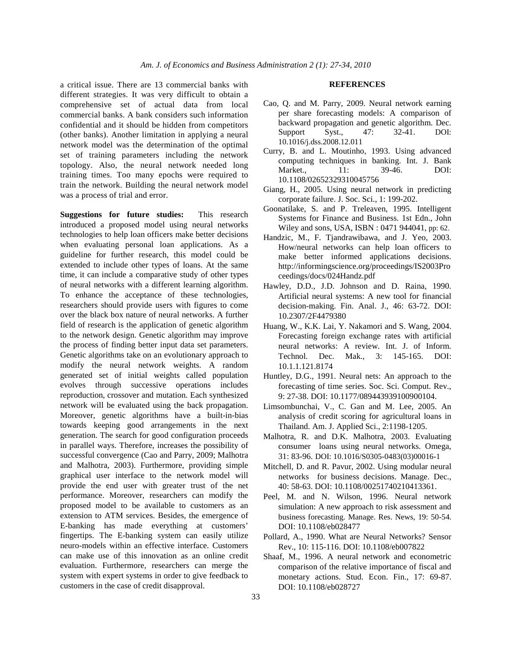a critical issue. There are 13 commercial banks with different strategies. It was very difficult to obtain a comprehensive set of actual data from local commercial banks. A bank considers such information confidential and it should be hidden from competitors (other banks). Another limitation in applying a neural network model was the determination of the optimal set of training parameters including the network topology. Also, the neural network needed long training times. Too many epochs were required to train the network. Building the neural network model was a process of trial and error.

**Suggestions for future studies:** This research introduced a proposed model using neural networks technologies to help loan officers make better decisions when evaluating personal loan applications. As a guideline for further research, this model could be extended to include other types of loans. At the same time, it can include a comparative study of other types of neural networks with a different learning algorithm. To enhance the acceptance of these technologies, researchers should provide users with figures to come over the black box nature of neural networks. A further field of research is the application of genetic algorithm to the network design. Genetic algorithm may improve the process of finding better input data set parameters. Genetic algorithms take on an evolutionary approach to modify the neural network weights. A random generated set of initial weights called population evolves through successive operations includes reproduction, crossover and mutation. Each synthesized network will be evaluated using the back propagation. Moreover, genetic algorithms have a built-in-bias towards keeping good arrangements in the next generation. The search for good configuration proceeds in parallel ways. Therefore, increases the possibility of successful convergence (Cao and Parry, 2009; Malhotra and Malhotra, 2003). Furthermore, providing simple graphical user interface to the network model will provide the end user with greater trust of the net performance. Moreover, researchers can modify the proposed model to be available to customers as an extension to ATM services. Besides, the emergence of E-banking has made everything at customers' fingertips. The E-banking system can easily utilize neuro-models within an effective interface. Customers can make use of this innovation as an online credit evaluation. Furthermore, researchers can merge the system with expert systems in order to give feedback to customers in the case of credit disapproval.

#### **REFERENCES**

- Cao, Q. and M. Parry, 2009. Neural network earning per share forecasting models: A comparison of backward propagation and genetic algorithm. Dec. Support Syst., 47: 32-41. DOI: 10.1016/j.dss.2008.12.011
- Curry, B. and L. Moutinho, 1993. Using advanced computing techniques in banking. Int. J. Bank Market., 11: 39-46. DOI: 10.1108/02652329310045756
- Giang, H., 2005. Using neural network in predicting corporate failure. J. Soc. Sci., 1: 199-202.
- Goonatilake, S. and P. Treleaven, 1995. Intelligent Systems for Finance and Business. 1st Edn., John Wiley and sons, USA, ISBN : 0471 944041, pp: 62.
- Handzic, M., F. Tjandrawibawa, and J. Yeo, 2003. How/neural networks can help loan officers to make better informed applications decisions. http://informingscience.org/proceedings/IS2003Pro ceedings/docs/024Handz.pdf
- Hawley, D.D., J.D. Johnson and D. Raina, 1990. Artificial neural systems: A new tool for financial decision-making. Fin. Anal. J., 46: 63-72. DOI: 10.2307/2F4479380
- Huang, W., K.K. Lai, Y. Nakamori and S. Wang, 2004. Forecasting foreign exchange rates with artificial neural networks: A review. Int. J. of Inform. Technol. Dec. Mak., 3: 145-165. DOI: 10.1.1.121.8174
- Huntley, D.G., 1991. Neural nets: An approach to the forecasting of time series. Soc. Sci. Comput. Rev., 9: 27-38. DOI: 10.1177/089443939100900104.
- Limsombunchai, V., C. Gan and M. Lee, 2005. An analysis of credit scoring for agricultural loans in Thailand. Am. J. Applied Sci., 2:1198-1205.
- Malhotra, R. and D.K. Malhotra, 2003. Evaluating consumer loans using neural networks. Omega, 31: 83-96. DOI: 10.1016/S0305-0483(03)00016-1
- Mitchell, D. and R. Pavur, 2002. Using modular neural networks for business decisions. Manage. Dec., 40: 58-63. DOI: 10.1108/00251740210413361.
- Peel, M. and N. Wilson, 1996. Neural network simulation: A new approach to risk assessment and business forecasting. Manage. Res. News, 19: 50-54. DOI: 10.1108/eb028477
- Pollard, A., 1990. What are Neural Networks? Sensor Rev., 10: 115-116. DOI: 10.1108/eb007822
- Shaaf, M., 1996. A neural network and econometric comparison of the relative importance of fiscal and monetary actions. Stud. Econ. Fin., 17: 69-87. DOI: 10.1108/eb028727